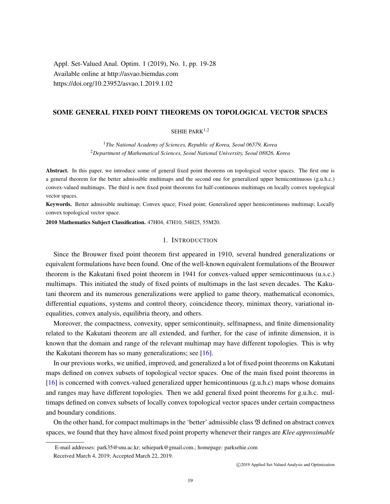Appl. Set-Valued Anal. Optim. 1 (2019), No. 1, pp. 19-28 Available online at http://asvao.biemdas.com https://doi.org/10.23952/asvao.1.2019.1.02

# SOME GENERAL FIXED POINT THEOREMS ON TOPOLOGICAL VECTOR SPACES

## SEHIE PARK $1,2$

<sup>1</sup>*The National Academy of Sciences, Republic of Korea, Seoul 06579, Korea* <sup>2</sup>*Department of Mathematical Sciences, Seoul National University, Seoul 08826, Korea*

Abstract. In this paper, we introduce some of general fixed point theorems on topological vector spaces. The first one is a general theorem for the better admissible multimaps and the second one for generalized upper hemicontinuous (g.u.h.c.) convex-valued multimaps. The third is new fixed point theorems for half-continuous multimaps on locally convex topological vector spaces.

Keywords. Better admissible multimap; Convex space; Fixed point; Generalized upper hemicontinuous multimap; Locally convex topological vector space.

2010 Mathematics Subject Classification. 47H04, 47H10, 54H25, 55M20.

### 1. INTRODUCTION

Since the Brouwer fixed point theorem first appeared in 1910, several hundred generalizations or equivalent formulations have been found. One of the well-known equivalent formulations of the Brouwer theorem is the Kakutani fixed point theorem in 1941 for convex-valued upper semicontinuous (u.s.c.) multimaps. This initiated the study of fixed points of multimaps in the last seven decades. The Kakutani theorem and its numerous generalizations were applied to game theory, mathematical economics, differential equations, systems and control theory, coincidence theory, minimax theory, variational inequalities, convex analysis, equilibria theory, and others.

Moreover, the compactness, convexity, upper semicontinuity, selfmapness, and finite dimensionality related to the Kakutani theorem are all extended, and further, for the case of infinite dimension, it is known that the domain and range of the relevant multimap may have different topologies. This is why the Kakutani theorem has so many generalizations; see [\[16\]](#page-9-0).

In our previous works, we unified, improved, and generalized a lot of fixed point theorems on Kakutani maps defined on convex subsets of topological vector spaces. One of the main fixed point theorems in [\[16\]](#page-9-0) is concerned with convex-valued generalized upper hemicontinuous (g.u.h.c) maps whose domains and ranges may have different topologies. Then we add general fixed point theorems for g.u.h.c. multimaps defined on convex subsets of locally convex topological vector spaces under certain compactness and boundary conditions.

On the other hand, for compact multimaps in the 'better' admissible class  $\mathfrak B$  defined on abstract convex spaces, we found that they have almost fixed point property whenever their ranges are *Klee approximable*

E-mail addresses: park35@snu.ac.kr; sehiepark@gmail.com.; homepage: parksehie.com Received March 4, 2019; Accepted March 22, 2019.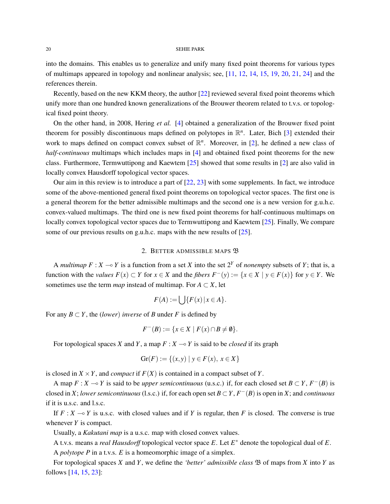into the domains. This enables us to generalize and unify many fixed point theorems for various types of multimaps appeared in topology and nonlinear analysis; see, [\[11,](#page-9-1) [12,](#page-9-2) [14,](#page-9-3) [15,](#page-9-4) [19,](#page-9-5) [20,](#page-9-6) [21,](#page-9-7) [24\]](#page-9-8) and the references therein.

Recently, based on the new KKM theory, the author [\[22\]](#page-9-9) reviewed several fixed point theorems which unify more than one hundred known generalizations of the Brouwer theorem related to t.v.s. or topological fixed point theory.

On the other hand, in 2008, Hering *et al.* [\[4\]](#page-8-0) obtained a generalization of the Brouwer fixed point theorem for possibly discontinuous maps defined on polytopes in R *n* . Later, Bich [\[3\]](#page-8-1) extended their work to maps defined on compact convex subset of  $\mathbb{R}^n$ . Moreover, in [\[2\]](#page-8-2), he defined a new class of *half-continuous* multimaps which includes maps in [\[4\]](#page-8-0) and obtained fixed point theorems for the new class. Furthermore, Termwuttipong and Kaewtem [\[25\]](#page-9-10) showed that some results in [\[2\]](#page-8-2) are also valid in locally convex Hausdorff topological vector spaces.

Our aim in this review is to introduce a part of [\[22,](#page-9-9) [23\]](#page-9-11) with some supplements. In fact, we introduce some of the above-mentioned general fixed point theorems on topological vector spaces. The first one is a general theorem for the better admissible multimaps and the second one is a new version for g.u.h.c. convex-valued multimaps. The third one is new fixed point theorems for half-continuous multimaps on locally convex topological vector spaces due to Termwuttipong and Kaewtem [\[25\]](#page-9-10). Finally, We compare some of our previous results on g.u.h.c. maps with the new results of [\[25\]](#page-9-10).

### 2. BETTER ADMISSIBLE MAPS  $\mathfrak B$

A *multimap*  $F : X \to Y$  is a function from a set X into the set  $2^Y$  of *nonempty* subsets of Y; that is, a function with the *values*  $F(x) \subset Y$  for  $x \in X$  and the *fibers*  $F^{-}(y) := \{x \in X \mid y \in F(x)\}$  for  $y \in Y$ . We sometimes use the term *map* instead of multimap. For  $A \subset X$ , let

$$
F(A) := \bigcup \{ F(x) \, | \, x \in A \}.
$$

For any  $B \subset Y$ , the *(lower) inverse* of *B* under *F* is defined by

$$
F^{-}(B) := \{ x \in X \mid F(x) \cap B \neq \emptyset \}.
$$

For topological spaces *X* and *Y*, a map  $F: X \rightarrow Y$  is said to be *closed* if its graph

$$
Gr(F) := \{(x, y) \mid y \in F(x), x \in X\}
$$

is closed in  $X \times Y$ , and *compact* if  $F(X)$  is contained in a compact subset of *Y*.

A map  $F : X \to Y$  is said to be *upper semicontinuous* (u.s.c.) if, for each closed set  $B \subset Y$ ,  $F^{-}(B)$  is closed in *X*; *lower semicontinuous* (l.s.c.) if, for each open set  $B \subset Y$ ,  $F^{-}(B)$  is open in *X*; and *continuous* if it is u.s.c. and l.s.c.

If  $F : X \to Y$  is u.s.c. with closed values and if *Y* is regular, then *F* is closed. The converse is true whenever *Y* is compact.

Usually, a *Kakutani map* is a u.s.c. map with closed convex values.

A t.v.s. means a *real Hausdorff* topological vector space *E*. Let *E* <sup>∗</sup> denote the topological dual of *E*.

A *polytope P* in a t.v.s. *E* is a homeomorphic image of a simplex.

For topological spaces *X* and *Y*, we define the *'better' admissible class* B of maps from *X* into *Y* as follows [\[14,](#page-9-3) [15,](#page-9-4) [23\]](#page-9-11):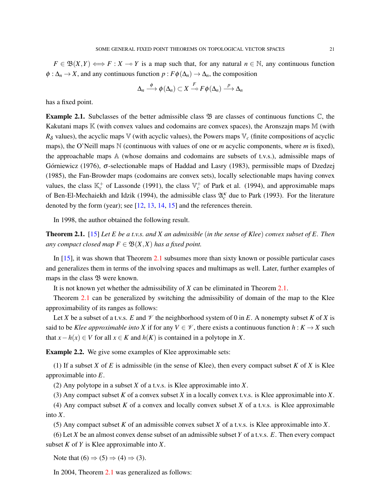$F \in \mathfrak{B}(X,Y) \Longleftrightarrow F : X \to Y$  is a map such that, for any natural  $n \in \mathbb{N}$ , any continuous function  $\phi: \Delta_n \to X$ , and any continuous function  $p: F\phi(\Delta_n) \to \Delta_n$ , the composition

$$
\Delta_n \xrightarrow{\phi} \phi(\Delta_n) \subset X \xrightarrow{F} F \phi(\Delta_n) \xrightarrow{p} \Delta_n
$$

has a fixed point.

**Example 2.1.** Subclasses of the better admissible class  $\mathfrak{B}$  are classes of continuous functions  $\mathbb{C}$ , the Kakutani maps  $\mathbb K$  (with convex values and codomains are convex spaces), the Aronszajn maps  $\mathbb M$  (with  $R_{\delta}$  values), the acyclic maps V (with acyclic values), the Powers maps  $\mathbb{V}_c$  (finite compositions of acyclic maps), the O'Neill maps N (continuous with values of one or *m* acyclic components, where *m* is fixed), the approachable maps A (whose domains and codomains are subsets of t.v.s.), admissible maps of Górniewicz (1976),  $\sigma$ -selectionable maps of Haddad and Lasry (1983), permissible maps of Dzedzej (1985), the Fan-Browder maps (codomains are convex sets), locally selectionable maps having convex values, the class  $\mathbb{K}_c^+$  of Lassonde (1991), the class  $\mathbb{V}_c^+$  of Park et al. (1994), and approximable maps of Ben-El-Mechaiekh and Idzik (1994), the admissible class  $\mathfrak{A}_{c}^{\kappa}$  due to Park (1993). For the literature denoted by the form (year); see [\[12,](#page-9-2) [13,](#page-9-12) [14,](#page-9-3) [15\]](#page-9-4) and the references therein.

In 1998, the author obtained the following result.

<span id="page-2-0"></span>Theorem 2.1. [\[15\]](#page-9-4) *Let E be a t.v.s. and X an admissible* (*in the sense of Klee*) *convex subset of E. Then any compact closed map*  $F \in \mathfrak{B}(X,X)$  *has a fixed point.* 

In [\[15\]](#page-9-4), it was shown that Theorem [2.1](#page-2-0) subsumes more than sixty known or possible particular cases and generalizes them in terms of the involving spaces and multimaps as well. Later, further examples of maps in the class  $\mathfrak{B}$  were known.

It is not known yet whether the admissibility of *X* can be eliminated in Theorem [2.1.](#page-2-0)

Theorem [2.1](#page-2-0) can be generalized by switching the admissibility of domain of the map to the Klee approximability of its ranges as follows:

Let *X* be a subset of a t.v.s. *E* and  $\mathcal V$  the neighborhood system of 0 in *E*. A nonempty subset *K* of *X* is said to be *Klee approximable into X* if for any  $V \in \mathcal{V}$ , there exists a continuous function  $h: K \to X$  such that  $x - h(x) \in V$  for all  $x \in K$  and  $h(K)$  is contained in a polytope in *X*.

Example 2.2. We give some examples of Klee approximable sets:

(1) If a subset *X* of *E* is admissible (in the sense of Klee), then every compact subset *K* of *X* is Klee approximable into *E*.

(2) Any polytope in a subset *X* of a t.v.s. is Klee approximable into *X*.

(3) Any compact subset *K* of a convex subset *X* in a locally convex t.v.s. is Klee approximable into *X*.

(4) Any compact subset *K* of a convex and locally convex subset *X* of a t.v.s. is Klee approximable into *X*.

(5) Any compact subset *K* of an admissible convex subset *X* of a t.v.s. is Klee approximable into *X*.

(6) Let *X* be an almost convex dense subset of an admissible subset *Y* of a t.v.s. *E*. Then every compact subset *K* of *Y* is Klee approximable into *X*.

Note that  $(6) \Rightarrow (5) \Rightarrow (4) \Rightarrow (3)$ .

In 2004, Theorem [2.1](#page-2-0) was generalized as follows: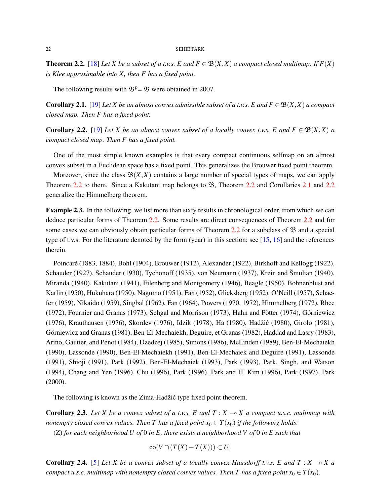<span id="page-3-0"></span>**Theorem 2.2.** [\[18\]](#page-9-13) *Let X be a subset of a t.v.s. E and*  $F \in \mathfrak{B}(X,X)$  *a compact closed multimap.* If  $F(X)$ *is Klee approximable into X, then F has a fixed point.*

The following results with  $\mathfrak{B}^p = \mathfrak{B}$  were obtained in 2007.

<span id="page-3-1"></span>**Corollary 2.1.** [\[19\]](#page-9-5) *Let X be an almost convex admissible subset of a t.v.s. E and*  $F \in \mathcal{B}(X,X)$  *a compact closed map. Then F has a fixed point.*

<span id="page-3-2"></span>**Corollary 2.2.** [\[19\]](#page-9-5) *Let X be an almost convex subset of a locally convex t.v.s. E and*  $F \in \mathcal{B}(X,X)$  *a compact closed map. Then F has a fixed point.*

One of the most simple known examples is that every compact continuous selfmap on an almost convex subset in a Euclidean space has a fixed point. This generalizes the Brouwer fixed point theorem.

Moreover, since the class  $\mathfrak{B}(X,X)$  contains a large number of special types of maps, we can apply Theorem [2.2](#page-3-2) to them. Since a Kakutani map belongs to  $\mathfrak{B}$ , Theorem 2.2 and Corollaries [2.1](#page-3-1) and 2.2 generalize the Himmelberg theorem.

Example 2.3. In the following, we list more than sixty results in chronological order, from which we can deduce particular forms of Theorem [2.2.](#page-3-0) Some results are direct consequences of Theorem [2.2](#page-3-0) and for some cases we can obviously obtain particular forms of Theorem [2.2](#page-3-0) for a subclass of  $\mathfrak{B}$  and a special type of t.v.s. For the literature denoted by the form (year) in this section; see [\[15,](#page-9-4) [16\]](#page-9-0) and the references therein.

Poincaré (1883, 1884), Bohl (1904), Brouwer (1912), Alexander (1922), Birkhoff and Kellogg (1922), Schauder (1927), Schauder (1930), Tychonoff (1935), von Neumann (1937), Krein and Šmulian (1940), Miranda (1940), Kakutani (1941), Eilenberg and Montgomery (1946), Beagle (1950), Bohnenblust and Karlin (1950), Hukuhara (1950), Nagumo (1951), Fan (1952), Glicksberg (1952), O'Neill (1957), Schaefer (1959), Nikaido (1959), Singbal (1962), Fan (1964), Powers (1970, 1972), Himmelberg (1972), Rhee (1972), Fournier and Granas (1973), Sehgal and Morrison (1973), Hahn and Pötter (1974), Górniewicz (1976), Krauthausen (1976), Skordev (1976), Idzik (1978), Ha (1980), Hadžić (1980), Girolo (1981), Górniewicz and Granas (1981), Ben-El-Mechaiekh, Deguire, et Granas (1982), Haddad and Lasry (1983), Arino, Gautier, and Penot (1984), Dzedzej (1985), Simons (1986), McLinden (1989), Ben-El-Mechaiekh (1990), Lassonde (1990), Ben-El-Mechaiekh (1991), Ben-El-Mechaiek and Deguire (1991), Lassonde (1991), Shioji (1991), Park (1992), Ben-El-Mechaiek (1993), Park (1993), Park, Singh, and Watson (1994), Chang and Yen (1996), Chu (1996), Park (1996), Park and H. Kim (1996), Park (1997), Park (2000).

The following is known as the Zima-Hadžić type fixed point theorem.

<span id="page-3-3"></span>**Corollary 2.3.** Let X be a convex subset of a t.v.s. E and  $T : X \rightarrow X$  a compact u.s.c. multimap with *nonempty closed convex values. Then T has a fixed point*  $x_0 \in T(x_0)$  *if the following holds:* (Z) *for each neighborhood U of* 0 *in E, there exists a neighborhood V of* 0 *in E such that*

 $\text{co}(V \cap (T(X) - T(X))) \subset U$ .

**Corollary 2.4.** [\[5\]](#page-8-3) Let *X* be a convex subset of a locally convex Hausdorff t.v.s. E and  $T : X \rightarrow X$  a *compact u.s.c. multimap with nonempty closed convex values. Then T has a fixed point*  $x_0 \in T(x_0)$ *.*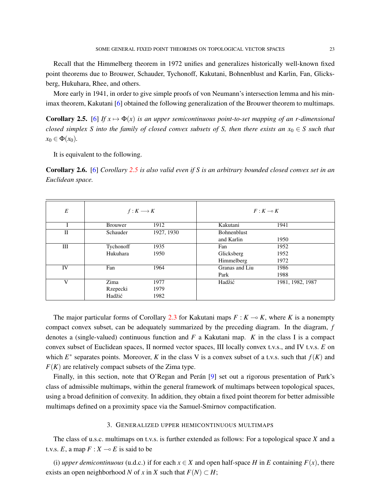Recall that the Himmelberg theorem in 1972 unifies and generalizes historically well-known fixed point theorems due to Brouwer, Schauder, Tychonoff, Kakutani, Bohnenblust and Karlin, Fan, Glicksberg, Hukuhara, Rhee, and others.

More early in 1941, in order to give simple proofs of von Neumann's intersection lemma and his minimax theorem, Kakutani [\[6\]](#page-9-14) obtained the following generalization of the Brouwer theorem to multimaps.

<span id="page-4-0"></span>**Corollary 2.5.** [\[6\]](#page-9-14) *If*  $x \mapsto \Phi(x)$  *is an upper semicontinuous point-to-set mapping of an r-dimensional closed simplex S into the family of closed convex subsets of S, then there exists an*  $x_0 \in S$  *such that*  $x_0 \in \Phi(x_0)$ .

It is equivalent to the following.

Corollary 2.6. [\[6\]](#page-9-14) *Corollary [2.5](#page-4-0) is also valid even if S is an arbitrary bounded closed convex set in an Euclidean space.*

| E            | $f: K \longrightarrow K$ |            | $F: K \longrightarrow K$ |                  |
|--------------|--------------------------|------------|--------------------------|------------------|
|              | <b>Brouwer</b>           | 1912       | Kakutani                 | 1941             |
| $_{\rm II}$  | Schauder                 | 1927, 1930 | <b>Bohnenblust</b>       |                  |
|              |                          |            | and Karlin               | 1950             |
| Ш            | Tychonoff                | 1935       | Fan                      | 1952             |
|              | Hukuhara                 | 1950       | Glicksberg               | 1952             |
|              |                          |            | Himmelberg               | 1972             |
| IV           | Fan                      | 1964       | Granas and Liu           | 1986             |
|              |                          |            | Park                     | 1988             |
| $\mathbf{V}$ | Zima                     | 1977       | Hadžić                   | 1981, 1982, 1987 |
|              | Rzepecki                 | 1979       |                          |                  |
|              | Hadžić                   | 1982       |                          |                  |

The major particular forms of Corollary [2.3](#page-3-3) for Kakutani maps  $F : K \rightarrow K$ , where *K* is a nonempty compact convex subset, can be adequately summarized by the preceding diagram. In the diagram, *f* denotes a (single-valued) continuous function and *F* a Kakutani map. *K* in the class I is a compact convex subset of Euclidean spaces, II normed vector spaces, III locally convex t.v.s., and IV t.v.s. *E* on which  $E^*$  separates points. Moreover, *K* in the class V is a convex subset of a t.v.s. such that  $f(K)$  and  $F(K)$  are relatively compact subsets of the Zima type.

Finally, in this section, note that O'Regan and Perán [[9\]](#page-9-15) set out a rigorous presentation of Park's class of admissible multimaps, within the general framework of multimaps between topological spaces, using a broad definition of convexity. In addition, they obtain a fixed point theorem for better admissible multimaps defined on a proximity space via the Samuel-Smirnov compactification.

### 3. GENERALIZED UPPER HEMICONTINUOUS MULTIMAPS

<span id="page-4-1"></span>The class of u.s.c. multimaps on t.v.s. is further extended as follows: For a topological space *X* and a t.v.s.  $E$ , a map  $F: X \rightarrow E$  is said to be

(i) *upper demicontinuous* (u.d.c.) if for each  $x \in X$  and open half-space *H* in *E* containing  $F(x)$ , there exists an open neighborhood *N* of *x* in *X* such that  $F(N) \subset H$ ;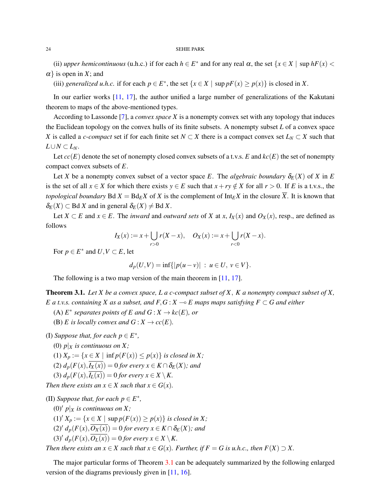(ii) *upper hemicontinuous* (u.h.c.) if for each  $h \in E^*$  and for any real  $\alpha$ , the set  $\{x \in X \mid \text{sup } hF(x)$  <  $\alpha$ } is open in *X*; and

(iii) *generalized u.h.c.* if for each  $p \in E^*$ , the set  $\{x \in X \mid \text{sup } pF(x) \ge p(x)\}$  is closed in *X*.

In our earlier works [\[11,](#page-9-1) [17\]](#page-9-16), the author unified a large number of generalizations of the Kakutani theorem to maps of the above-mentioned types.

According to Lassonde [\[7\]](#page-9-17), a *convex space X* is a nonempty convex set with any topology that induces the Euclidean topology on the convex hulls of its finite subsets. A nonempty subset *L* of a convex space *X* is called a *c*-*compact* set if for each finite set  $N \subset X$  there is a compact convex set  $L_N \subset X$  such that  $L$ ∪ $N$  ⊂  $L_N$ .

Let  $cc(E)$  denote the set of nonempty closed convex subsets of a t.v.s. *E* and  $kc(E)$  the set of nonempty compact convex subsets of *E*.

Let *X* be a nonempty convex subset of a vector space *E*. The *algebraic boundary*  $\delta_E(X)$  of *X* in *E* is the set of all  $x \in X$  for which there exists  $y \in E$  such that  $x + ry \notin X$  for all  $r > 0$ . If *E* is a t.v.s., the *topological boundary* Bd  $X = Bd_E X$  of X is the complement of Int $E X$  in the closure  $\overline{X}$ . It is known that  $\delta_E(X) \subset$  Bd *X* and in general  $\delta_E(X) \neq$  Bd *X*.

Let *X* ⊂ *E* and *x* ∈ *E*. The *inward* and *outward sets* of *X* at *x*, *I<sub>X</sub>*(*x*) and *O<sub>X</sub>*(*x*), resp., are defined as follows

$$
I_X(x) := x + \bigcup_{r>0} r(X-x), \quad O_X(x) := x + \bigcup_{r<0} r(X-x).
$$

For  $p \in E^*$  and  $U, V \subset E$ , let

$$
d_p(U, V) = \inf\{|p(u - v)| : u \in U, v \in V\}.
$$

The following is a two map version of the main theorem in [\[11,](#page-9-1) [17\]](#page-9-16).

<span id="page-5-0"></span>Theorem 3.1. *Let X be a convex space, L a c-compact subset of X*, *K a nonempty compact subset of X, E a t.v.s. containing X as a subset, and F, G :*  $X \rightarrow E$  *maps maps satisfying F*  $\subset G$  *and either* 

 $(A)$   $E^*$  *separates points of*  $E$  *and*  $G: X \to kc(E)$ *, or* 

(B) *E* is locally convex and  $G: X \to cc(E)$ .

(I) *Suppose that, for each*  $p \in E^*$ ,

- (0)  $p|_X$  *is continuous on X;*
- (1)  $X_p := \{x \in X \mid \inf p(F(x)) \leq p(x)\}$  *is closed in X;*
- $(2)$   $d_p(F(x), \overline{I_X(x)}) = 0$  *for every*  $x \in K \cap \delta_E(X)$ *; and*
- (3)  $d_p(F(x), \overline{I_L(x)}) = 0$  *for every*  $x \in X \setminus K$ .

*Then there exists an*  $x \in X$  *such that*  $x \in G(x)$ *.* 

(II) *Suppose that, for each*  $p \in E^*$ ,

- (0)<sup> $\prime$ </sup> *p*| $\chi$  *is continuous on X;*
- $(1)'$  *X<sub>p</sub>* := { $x \in X$  | sup  $p(F(x)) \ge p(x)$ } *is closed in X*;
- $(2)' d_p(F(x), \overline{O_X(x)}) = 0$  *for every*  $x \in K \cap \delta_E(X)$ *; and*

 $(3)' d_p(F(x), \overline{O_L(x)}) = 0$  *for every*  $x \in X \setminus K$ .

*Then there exists an*  $x \in X$  *such that*  $x \in G(x)$ *. Further, if*  $F = G$  *is u.h.c., then*  $F(X) \supset X$ *.* 

The major particular forms of Theorem [3.1](#page-5-0) can be adequately summarized by the following enlarged version of the diagrams previously given in [\[11,](#page-9-1) [16\]](#page-9-0).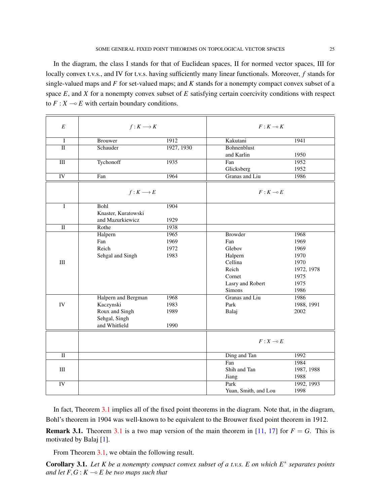locally convex t.v.s., and IV for t.v.s. having sufficiently many linear functionals. Moreover, *f* stands for single-valued maps and *F* for set-valued maps; and *K* stands for a nonempty compact convex subset of a space *E*, and *X* for a nonempty convex subset of *E* satisfying certain coercivity conditions with respect to  $F: X \longrightarrow E$  with certain boundary conditions.

| E                       | $f: K \longrightarrow K$ |            | $F: K \longrightarrow K$ |            |
|-------------------------|--------------------------|------------|--------------------------|------------|
| $\mathbf{I}$            | <b>Brouwer</b>           | 1912       | Kakutani                 | 1941       |
| $\Pi$                   | Schauder                 | 1927, 1930 | <b>Bohnenblust</b>       |            |
|                         |                          |            | and Karlin               | 1950       |
| III                     | Tychonoff                | 1935       | Fan                      | 1952       |
|                         |                          |            | Glicksberg               | 1952       |
| IV                      | Fan                      | 1964       | Granas and Liu           | 1986       |
|                         | $f: K \longrightarrow E$ |            | $F: K \rightarrow E$     |            |
| I                       | Bohl                     | 1904       |                          |            |
|                         | Knaster, Kuratowski      |            |                          |            |
|                         | and Mazurkiewicz         | 1929       |                          |            |
| $\overline{\mathbf{u}}$ | Rothe                    | 1938       |                          |            |
|                         | Halpern                  | 1965       | <b>Browder</b>           | 1968       |
|                         | Fan                      | 1969       | Fan                      | 1969       |
|                         | Reich                    | 1972       | Glebov                   | 1969       |
|                         | Sehgal and Singh         | 1983       | Halpern                  | 1970       |
| III                     |                          |            | Cellina                  | 1970       |
|                         |                          |            | Reich                    | 1972, 1978 |
|                         |                          |            | Cornet                   | 1975       |
|                         |                          |            | Lasry and Robert         | 1975       |
|                         |                          |            | Simons                   | 1986       |
|                         | Halpern and Bergman      | 1968       | Granas and Liu           | 1986       |
| IV                      | Kaczynski                | 1983       | Park                     | 1988, 1991 |
|                         | Roux and Singh           | 1989       | Balaj                    | 2002       |
|                         | Sehgal, Singh            |            |                          |            |
|                         | and Whitfield            | 1990       |                          |            |
|                         |                          |            | $F: X \multimap E$       |            |
|                         |                          |            |                          |            |
| $\overline{\mathbf{u}}$ |                          |            | Ding and Tan             | 1992       |
|                         |                          |            | Fan                      | 1984       |
| III                     |                          |            | Shih and Tan             | 1987, 1988 |
|                         |                          |            | Jiang                    | 1988       |
| IV                      |                          |            | Park                     | 1992, 1993 |
|                         |                          |            | Yuan, Smith, and Lou     | 1998       |

In fact, Theorem [3.1](#page-5-0) implies all of the fixed point theorems in the diagram. Note that, in the diagram, Bohl's theorem in 1904 was well-known to be equivalent to the Brouwer fixed point theorem in 1912.

**Remark [3.1](#page-5-0).** Theorem 3.1 is a two map version of the main theorem in [\[11,](#page-9-1) [17\]](#page-9-16) for  $F = G$ . This is motivated by Balaj [\[1\]](#page-8-4).

From Theorem [3.1,](#page-5-0) we obtain the following result.

<span id="page-6-0"></span>Corollary 3.1. *Let K be a nonempty compact convex subset of a t.v.s. E on which E*<sup>∗</sup> *separates points and let*  $F, G: K \to E$  *be two maps such that*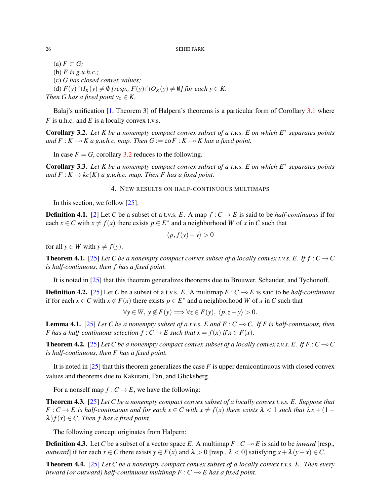$(a)$   $F \subset G$ ; (b) *F is g.u.h.c.;* (c) *G has closed convex values;* (d)  $F(y) ∩ I_K(y) \neq \emptyset$  [resp.,  $F(y) ∩ \overline{O_K(y)} \neq \emptyset$ ] for each  $y \in K$ . *Then G has a fixed point*  $y_0 \in K$ .

Balaj's unification [\[1,](#page-8-4) Theorem 3] of Halpern's theorems is a particular form of Corollary [3.1](#page-6-0) where *F* is u.h.c. and *E* is a locally convex t.v.s.

<span id="page-7-0"></span>Corollary 3.2. *Let K be a nonempty compact convex subset of a t.v.s. E on which E*<sup>∗</sup> *separates points and*  $F: K \to K$  *a g.u.h.c. map. Then*  $G := \overline{co} F: K \to K$  *has a fixed point.* 

In case  $F = G$ , corollary [3.2](#page-7-0) reduces to the following.

<span id="page-7-2"></span>Corollary 3.3. *Let K be a nonempty compact convex subset of a t.v.s. E on which E*<sup>∗</sup> *separates points and*  $F: K \to kc(K)$  *a* g.u.h.c. map. Then F has a fixed point.

4. NEW RESULTS ON HALF-CONTINUOUS MULTIMAPS

In this section, we follow [\[25\]](#page-9-10).

**Definition 4.1.** [\[2\]](#page-8-2) Let *C* be a subset of a t.v.s. *E*. A map  $f: C \to E$  is said to be *half-continuous* if for each  $x \in C$  with  $x \neq f(x)$  there exists  $p \in E^*$  and a neighborhood *W* of *x* in *C* such that

$$
\langle p, f(y) - y \rangle > 0
$$

for all  $y \in W$  with  $y \neq f(y)$ .

**Theorem 4.1.** [\[25\]](#page-9-10) Let C be a nonempty compact convex subset of a locally convex t.v.s. E. If  $f: C \to C$ *is half-continuous, then f has a fixed point.*

It is noted in [\[25\]](#page-9-10) that this theorem generalizes theorems due to Brouwer, Schauder, and Tychonoff.

**Definition 4.2.** [\[25\]](#page-9-10) Let C be a subset of a t.v.s. E. A multimap  $F: C \rightarrow E$  is said to be *half-continuous* if for each  $x \in C$  with  $x \notin F(x)$  there exists  $p \in E^*$  and a neighborhood *W* of *x* in *C* such that

$$
\forall y \in W, y \notin F(y) \Longrightarrow \forall z \in F(y), \langle p, z - y \rangle > 0.
$$

**Lemma 4.1.** [\[25\]](#page-9-10) *Let C be a nonempty subset of a t.v.s. E and F : C*  $\sim$  *C. If F is half-continuous, then F* has a half-continuous selection  $f: C \to E$  such that  $x = f(x)$  if  $x \in F(x)$ .

<span id="page-7-3"></span>**Theorem 4.2.** [\[25\]](#page-9-10) Let C be a nonempty compact convex subset of a locally convex t.v.s. E. If  $F : C \rightarrow C$ *is half-continuous, then F has a fixed point.*

It is noted in [\[25\]](#page-9-10) that this theorem generalizes the case *F* is upper demicontinuous with closed convex values and theorems due to Kakutani, Fan, and Glicksberg.

For a nonself map  $f: C \to E$ , we have the following:

Theorem 4.3. [\[25\]](#page-9-10) *Let C be a nonempty compact convex subset of a locally convex t.v.s. E. Suppose that*  $F: C \to E$  is half-continuous and for each  $x \in C$  with  $x \neq f(x)$  there exists  $\lambda < 1$  such that  $\lambda x + (1 - f(x))$  $\lambda$ *f*(*x*)  $\in$  *C. Then f has a fixed point.* 

The following concept originates from Halpern:

**Definition 4.3.** Let *C* be a subset of a vector space *E*. A multimap  $F: C \rightarrow E$  is said to be *inward* [resp., *outward*] if for each  $x \in C$  there exists  $y \in F(x)$  and  $\lambda > 0$  [resp.,  $\lambda < 0$ ] satisfying  $x + \lambda (y - x) \in C$ .

<span id="page-7-1"></span>Theorem 4.4. [\[25\]](#page-9-10) *Let C be a nonempty compact convex subset of a locally convex t.v.s. E. Then every inward (or outward) half-continuous multimap*  $F : C \rightarrow E$  has a fixed point.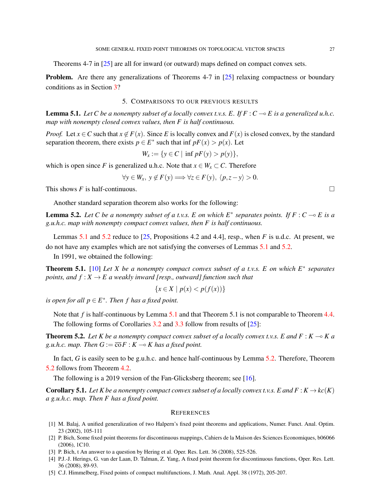Theorems 4-7 in [\[25\]](#page-9-10) are all for inward (or outward) maps defined on compact convex sets.

**Problem.** Are there any generalizations of Theorems 4-7 in [\[25\]](#page-9-10) relaxing compactness or boundary conditions as in Section [3?](#page-4-1)

## 5. COMPARISONS TO OUR PREVIOUS RESULTS

<span id="page-8-5"></span>**Lemma 5.1.** Let C be a nonempty subset of a locally convex t.v.s. E. If  $F : C \rightarrow E$  is a generalized u.h.c. *map with nonempty closed convex values, then F is half continuous.*

*Proof.* Let  $x \in C$  such that  $x \notin F(x)$ . Since *E* is locally convex and  $F(x)$  is closed convex, by the standard separation theorem, there exists  $p \in E^*$  such that inf  $pF(x) > p(x)$ . Let

$$
W_x := \{ y \in C \mid \inf pF(y) > p(y) \},
$$

which is open since *F* is generalized u.h.c. Note that  $x \in W_x \subset C$ . Therefore

$$
\forall y \in W_x, \ y \notin F(y) \Longrightarrow \forall z \in F(y), \ \langle p, z - y \rangle > 0.
$$

This shows *F* is half-continuous.  $\square$ 

Another standard separation theorem also works for the following:

<span id="page-8-6"></span>**Lemma 5.2.** Let C be a nonempty subset of a t.v.s. E on which  $E^*$  separates points. If  $F: C \to E$  is a *g.u.h.c. map with nonempty compact convex values, then F is half continuous.*

Lemmas [5.1](#page-8-5) and [5.2](#page-8-6) reduce to [\[25,](#page-9-10) Propositions 4.2 and 4.4], resp., when *F* is u.d.c. At present, we do not have any examples which are not satisfying the converses of Lemmas [5.1](#page-8-5) and [5.2.](#page-8-6)

In 1991, we obtained the following:

<span id="page-8-7"></span>Theorem 5.1. [\[10\]](#page-9-18) *Let X be a nonempty compact convex subset of a t.v.s. E on which E*<sup>∗</sup> *separates points, and*  $f: X \to E$  *a* weakly inward [resp., outward] function such that

$$
\{x \in X \mid p(x) < p(f(x))\}
$$

*is open for all*  $p \in E^*$ . Then f has a fixed point.

Note that *f* is half-continuous by Lemma [5.1](#page-8-7) and that Theorem 5.1 is not comparable to Theorem [4.4.](#page-7-1) The following forms of Corollaries [3.2](#page-7-0) and [3.3](#page-7-2) follow from results of  $[25]$ :

<span id="page-8-8"></span>**Theorem 5.2.** Let K be a nonempty compact convex subset of a locally convex t.v.s. E and  $F : K \to K$  a *g.u.h.c. map. Then*  $G := \overline{\text{co}} F : K \to K$  has a fixed point.

In fact, *G* is easily seen to be g.u.h.c. and hence half-continuous by Lemma [5.2.](#page-8-6) Therefore, Theorem [5.2](#page-8-8) follows from Theorem [4.2.](#page-7-3)

The following is a 2019 version of the Fan-Glicksberg theorem; see [\[16\]](#page-9-0).

**Corollary 5.1.** Let K be a nonempty compact convex subset of a locally convex t.v.s. E and  $F : K \to kc(K)$ *a g.u.h.c. map. Then F has a fixed point.*

### **REFERENCES**

- <span id="page-8-4"></span>[1] M. Balaj, A unified generalization of two Halpern's fixed point theorems and applications, Numer. Funct. Anal. Optim. 23 (2002), 105-111
- <span id="page-8-2"></span>[2] P. Bich, Some fixed point theorems for discontinuous mappings, Cahiers de la Maison des Sciences Economiques, b06066 (2006), 1C10.
- <span id="page-8-1"></span>[3] P. Bich, t An answer to a question by Hering et al. Oper. Res. Lett. 36 (2008), 525-526.
- <span id="page-8-0"></span>[4] P.J.-J. Herings, G. van der Laan, D. Talman, Z. Yang, A fixed point theorem for discontinuous functions, Oper. Res. Lett. 36 (2008), 89-93.
- <span id="page-8-3"></span>[5] C.J. Himmelberg, Fixed points of compact multifunctions, J. Math. Anal. Appl. 38 (1972), 205-207.